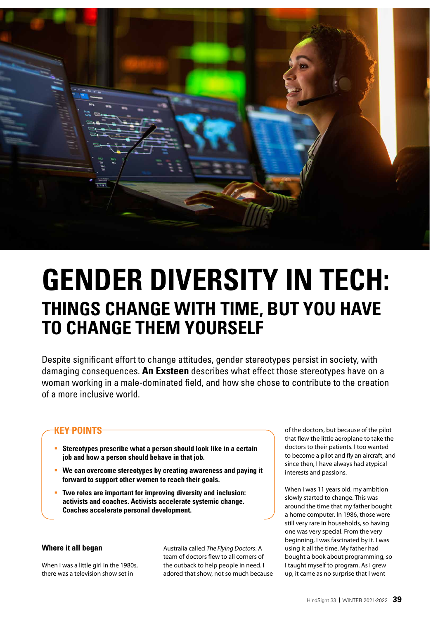

# **GENDER DIVERSITY IN TECH: THINGS CHANGE WITH TIME, BUT YOU HAVE TO CHANGE THEM YOURSELF**

Despite significant effort to change attitudes, gender stereotypes persist in society, with damaging consequences. **An Exsteen** describes what effect those stereotypes have on a woman working in a male-dominated field, and how she chose to contribute to the creation of a more inclusive world.

## **KEY POINTS**

- **Stereotypes prescribe what a person should look like in a certain job and how a person should behave in that job.**
- **We can overcome stereotypes by creating awareness and paying it forward to support other women to reach their goals.**
- **Two roles are important for improving diversity and inclusion: activists and coaches. Activists accelerate systemic change. Coaches accelerate personal development.**

#### **Where it all began**

When I was a little girl in the 1980s, there was a television show set in

Australia called *The Flying Doctors*. A team of doctors flew to all corners of the outback to help people in need. I adored that show, not so much because of the doctors, but because of the pilot that flew the little aeroplane to take the doctors to their patients. I too wanted to become a pilot and fly an aircraft, and since then, I have always had atypical interests and passions.

When I was 11 years old, my ambition slowly started to change. This was around the time that my father bought a home computer. In 1986, those were still very rare in households, so having one was very special. From the very beginning, I was fascinated by it. I was using it all the time. My father had bought a book about programming, so I taught myself to program. As I grew up, it came as no surprise that I went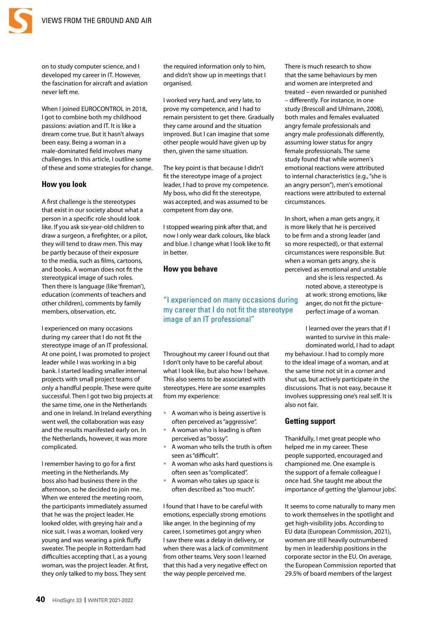

on to study computer science, and I developed my career in IT. However, the fascination for aircraft and aviation never left me.

When I joined EUROCONTROL in 2018, I got to combine both my childhood passions: aviation and IT. It is like a dream come true. But it hasn't always been easy. Being a woman in a male-dominated field involves many challenges. In this article, I outline some of these and some strategies for change.

#### **How you look**

A first challenge is the stereotypes that exist in our society about what a person in a specific role should look like. If you ask six-year-old children to draw a surgeon, a firefighter, or a pilot, they will tend to draw men. This may be partly because of their exposure to the media, such as films, cartoons, and books. A woman does not fit the stereotypical image of such roles. Then there is language (like 'fireman'), education (comments of teachers and other children), comments by family members, observation, etc.

I experienced on many occasions during my career that I do not fit the stereotype image of an IT professional. At one point, I was promoted to project leader while I was working in a big bank. I started leading smaller internal projects with small project teams of only a handful people. These were quite successful. Then I got two big projects at the same time, one in the Netherlands and one in Ireland. In Ireland everything went well, the collaboration was easy and the results manifested early on. In the Netherlands, however, it was more complicated.

I remember having to go for a first meeting in the Netherlands. My boss also had business there in the afternoon, so he decided to join me. When we entered the meeting room, the participants immediately assumed that he was the project leader. He looked older, with greying hair and a nice suit. I was a woman, looked very young and was wearing a pink fluffy sweater. The people in Rotterdam had difficulties accepting that I, as a young woman, was the project leader. At first, they only talked to my boss. They sent

the required information only to him, and didn't show up in meetings that I organised.

I worked very hard, and very late, to prove my competence, and I had to remain persistent to get there. Gradually they came around and the situation improved. But I can imagine that some other people would have given up by then, given the same situation.

The key point is that because I didn't fit the stereotype image of a project leader, I had to prove my competence. My boss, who did fit the stereotype, was accepted, and was assumed to be competent from day one.

I stopped wearing pink after that, and now I only wear dark colours, like black and blue. I change what I look like to fit in better.

#### **How you behave**

#### "I experienced on many occasions during my career that I do not fit the stereotype image of an IT professional"

Throughout my career I found out that I don't only have to be careful about what I look like, but also how I behave. This also seems to be associated with stereotypes. Here are some examples from my experience:

- A woman who is being assertive is often perceived as "aggressive".
- A woman who is leading is often perceived as "bossy".
- A woman who tells the truth is often seen as "difficult".
- A woman who asks hard questions is often seen as "complicated".
- A woman who takes up space is often described as "too much".

I found that I have to be careful with emotions, especially strong emotions like anger. In the beginning of my career, I sometimes got angry when I saw there was a delay in delivery, or when there was a lack of commitment from other teams. Very soon I learned that this had a very negative effect on the way people perceived me.

There is much research to show that the same behaviours by men and women are interpreted and treated – even rewarded or punished – differently. For instance, in one study (Brescoll and Uhlmann, 2008), both males and females evaluated angry female professionals and angry male professionals differently, assuming lower status for angry female professionals. The same study found that while women's emotional reactions were attributed to internal characteristics (e.g., "she is an angry person"), men's emotional reactions were attributed to external circumstances.

In short, when a man gets angry, it is more likely that he is perceived to be firm and a strong leader (and so more respected), or that external circumstances were responsible. But when a woman gets angry, she is perceived as emotional and unstable

> and she is less respected. As noted above, a stereotype is at work: strong emotions, like anger, do not fit the pictureperfect image of a woman.

I learned over the years that if I wanted to survive in this maledominated world, I had to adapt

my behaviour. I had to comply more to the ideal image of a woman, and at the same time not sit in a corner and shut up, but actively participate in the discussions. That is not easy, because it involves suppressing one's real self. It is also not fair.

#### **Getting support**

Thankfully, I met great people who helped me in my career. These people supported, encouraged and championed me. One example is the support of a female colleague I once had. She taught me about the importance of getting the 'glamour jobs'.

It seems to come naturally to many men to work themselves in the spotlight and get high-visibility jobs. According to EU data (European Commission, 2021), women are still heavily outnumbered by men in leadership positions in the corporate sector in the EU. On average, the European Commission reported that 29.5% of board members of the largest